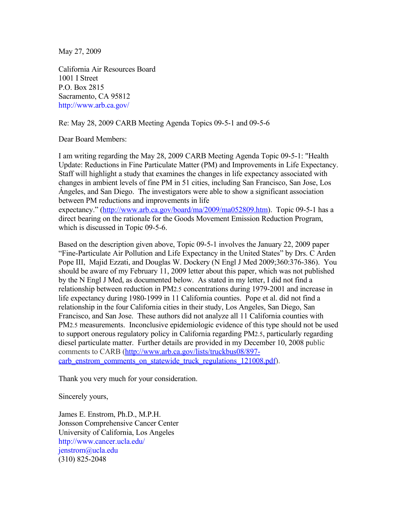May 27, 2009

California Air Resources Board 1001 I Street P.O. Box 2815 Sacramento, CA 95812 http://www.arb.ca.gov/

Re: May 28, 2009 CARB Meeting Agenda Topics 09-5-1 and 09-5-6

Dear Board Members:

I am writing regarding the May 28, 2009 CARB Meeting Agenda Topic 09-5-1: "Health Update: Reductions in Fine Particulate Matter (PM) and Improvements in Life Expectancy. Staff will highlight a study that examines the changes in life expectancy associated with changes in ambient levels of fine PM in 51 cities, including San Francisco, San Jose, Los Ángeles, and San Diego. The investigators were able to show a significant association between PM reductions and improvements in life

expectancy." [\(http://www.arb.ca.gov/board/ma/2009/ma052809.htm\)](http://www.arb.ca.gov/board/ma/2009/ma052809.htm). Topic 09-5-1 has a direct bearing on the rationale for the Goods Movement Emission Reduction Program, which is discussed in Topic 09-5-6.

Based on the description given above, Topic 09-5-1 involves the January 22, 2009 paper "Fine-Particulate Air Pollution and Life Expectancy in the United States" by Drs. C Arden Pope III, Majid Ezzati, and Douglas W. Dockery (N Engl J Med 2009;360:376-386). You should be aware of my February 11, 2009 letter about this paper, which was not published by the N Engl J Med, as documented below. As stated in my letter, I did not find a relationship between reduction in PM2.5 concentrations during 1979-2001 and increase in life expectancy during 1980-1999 in 11 California counties. Pope et al. did not find a relationship in the four California cities in their study, Los Angeles, San Diego, San Francisco, and San Jose. These authors did not analyze all 11 California counties with PM2.5 measurements. Inconclusive epidemiologic evidence of this type should not be used to support onerous regulatory policy in California regarding PM2.5, particularly regarding diesel particulate matter. Further details are provided in my December 10, 2008 public comments to CARB [\(http://www.arb.ca.gov/lists/truckbus08/897](http://www.arb.ca.gov/lists/truckbus08/897-carb_enstrom_comments_on_statewide_truck_regulations_121008.pdf) [carb\\_enstrom\\_comments\\_on\\_statewide\\_truck\\_regulations\\_121008.pdf\)](http://www.arb.ca.gov/lists/truckbus08/897-carb_enstrom_comments_on_statewide_truck_regulations_121008.pdf).

Thank you very much for your consideration.

Sincerely yours,

James E. Enstrom, Ph.D., M.P.H. Jonsson Comprehensive Cancer Center University of California, Los Angeles http://www.cancer.ucla.edu/ jenstrom@ucla.edu (310) 825-2048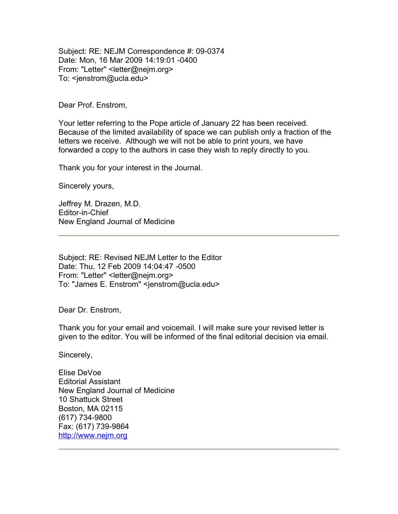Subject: RE: NEJM Correspondence #: 09-0374 Date: Mon, 16 Mar 2009 14:19:01 -0400 From: "Letter" <letter@nejm.org> To: <jenstrom@ucla.edu>

Dear Prof. Enstrom,

Your letter referring to the Pope article of January 22 has been received. Because of the limited availability of space we can publish only a fraction of the letters we receive. Although we will not be able to print yours, we have forwarded a copy to the authors in case they wish to reply directly to you.

Thank you for your interest in the Journal.

Sincerely yours,

Jeffrey M. Drazen, M.D. Editor-in-Chief New England Journal of Medicine

Subject: RE: Revised NEJM Letter to the Editor Date: Thu, 12 Feb 2009 14:04:47 -0500 From: "Letter" <letter@nejm.org> To: "James E. Enstrom" <jenstrom@ucla.edu>

Dear Dr. Enstrom,

Thank you for your email and voicemail. I will make sure your revised letter is given to the editor. You will be informed of the final editorial decision via email.

Sincerely,

Elise DeVoe Editorial Assistant New England Journal of Medicine 10 Shattuck Street Boston, MA 02115 (617) 734-9800 Fax: (617) 739-9864 [http://www.nejm.org](http://www.nejm.org/)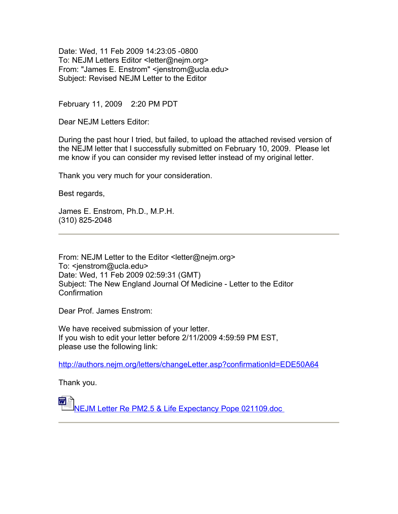Date: Wed, 11 Feb 2009 14:23:05 -0800 To: NEJM Letters Editor <letter@nejm.org> From: "James E. Enstrom" <jenstrom@ucla.edu> Subject: Revised NEJM Letter to the Editor

February 11, 2009 2:20 PM PDT

Dear NEJM Letters Editor:

During the past hour I tried, but failed, to upload the attached revised version of the NEJM letter that I successfully submitted on February 10, 2009. Please let me know if you can consider my revised letter instead of my original letter.

Thank you very much for your consideration.

Best regards,

James E. Enstrom, Ph.D., M.P.H. (310) 825-2048

From: NEJM Letter to the Editor <letter@nejm.org> To: <ienstrom@ucla.edu> Date: Wed, 11 Feb 2009 02:59:31 (GMT) Subject: The New England Journal Of Medicine - Letter to the Editor Confirmation

Dear Prof. James Enstrom:

We have received submission of your letter. If you wish to edit your letter before 2/11/2009 4:59:59 PM EST, please use the following link:

<http://authors.nejm.org/letters/changeLetter.asp?confirmationId=EDE50A64>

Thank you.

[NEJM Letter Re PM2.5 & Life Expectancy Pope 021109.doc](file:///c:%5Cdocuments%20and%20settings%5Cjames%20enstrom%5Capplication%20data%5Cqualcomm%5Ceudora%5Cattach%5CNEJM%20Letter%20Re%20PM2.5%20&%20Life%20Expectancy%20Pope%20021109.doc)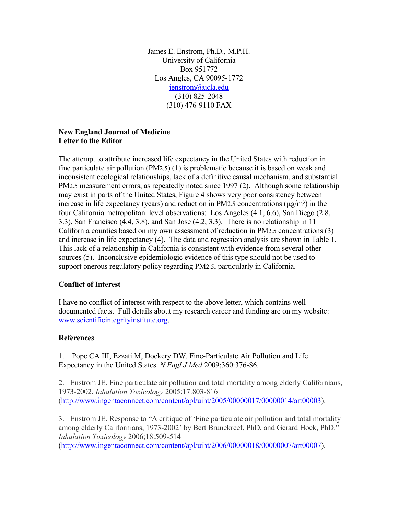James E. Enstrom, Ph.D., M.P.H. University of California Box 951772 Los Angles, CA 90095-1772 [jenstrom@ucla.edu](mailto:jenstom@ucla.edu) (310) 825-2048 (310) 476-9110 FAX

## **New England Journal of Medicine Letter to the Editor**

The attempt to attribute increased life expectancy in the United States with reduction in fine particulate air pollution (PM2.5) (1) is problematic because it is based on weak and inconsistent ecological relationships, lack of a definitive causal mechanism, and substantial PM2.5 measurement errors, as repeatedly noted since 1997 (2). Although some relationship may exist in parts of the United States, Figure 4 shows very poor consistency between increase in life expectancy (years) and reduction in PM2.5 concentrations  $(\mu g/m^3)$  in the four California metropolitan–level observations: Los Angeles (4.1, 6.6), San Diego (2.8, 3.3), San Francisco (4.4, 3.8), and San Jose (4.2, 3.3). There is no relationship in 11 California counties based on my own assessment of reduction in PM2.5 concentrations (3) and increase in life expectancy (4). The data and regression analysis are shown in Table 1. This lack of a relationship in California is consistent with evidence from several other sources (5). Inconclusive epidemiologic evidence of this type should not be used to support onerous regulatory policy regarding PM2.5, particularly in California.

## **Conflict of Interest**

I have no conflict of interest with respect to the above letter, which contains well documented facts. Full details about my research career and funding are on my website: [www.scientificintegrityinstitute.org.](http://www.scientificintegrityinstitute.org/)

## **References**

1. Pope CA III, Ezzati M, Dockery DW. Fine-Particulate Air Pollution and Life Expectancy in the United States. *N Engl J Med* 2009;360:376-86.

2. Enstrom JE. Fine particulate air pollution and total mortality among elderly Californians, 1973-2002. *Inhalation Toxicology* 2005;17:803-816 [\(http://www.ingentaconnect.com/content/apl/uiht/2005/00000017/00000014/art00003\)](http://www.ingentaconnect.com/content/apl/uiht/2005/00000017/00000014/art00003).

3. Enstrom JE. Response to "A critique of 'Fine particulate air pollution and total mortality among elderly Californians, 1973-2002' by Bert Brunekreef, PhD, and Gerard Hoek, PhD." *Inhalation Toxicology* 2006;18:509-514

[\(http://www.ingentaconnect.com/content/apl/uiht/2006/00000018/00000007/art00007\)](http://www.ingentaconnect.com/content/apl/uiht/2006/00000018/00000007/art00007).